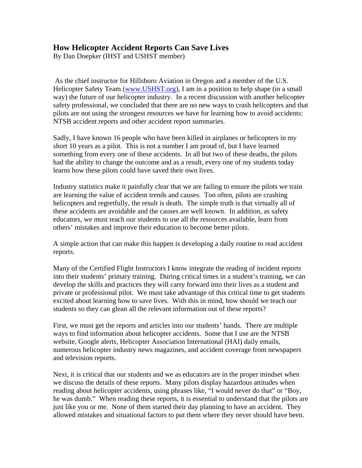## **How Helicopter Accident Reports Can Save Lives**

By Dan Doepker (IHST and USHST member)

 As the chief instructor for Hillsboro Aviation in Oregon and a member of the U.S. Helicopter Safety Team (www.USHST.org), I am in a position to help shape (in a small way) the future of our helicopter industry. In a recent discussion with another helicopter safety professional, we concluded that there are no new ways to crash helicopters and that pilots are not using the strongest resources we have for learning how to avoid accidents: NTSB accident reports and other accident report summaries.

Sadly, I have known 16 people who have been killed in airplanes or helicopters in my short 10 years as a pilot. This is not a number I am proud of, but I have learned something from every one of these accidents. In all but two of these deaths, the pilots had the ability to change the outcome and as a result, every one of my students today learns how these pilots could have saved their own lives.

Industry statistics make it painfully clear that we are failing to ensure the pilots we train are learning the value of accident trends and causes. Too often, pilots are crashing helicopters and regretfully, the result is death. The simple truth is that virtually all of these accidents are avoidable and the causes are well known. In addition, as safety educators, we must teach our students to use all the resources available, learn from others' mistakes and improve their education to become better pilots.

A simple action that can make this happen is developing a daily routine to read accident reports.

Many of the Certified Flight Instructors I know integrate the reading of incident reports into their students' primary training. During critical times in a student's training, we can develop the skills and practices they will carry forward into their lives as a student and private or professional pilot. We must take advantage of this critical time to get students excited about learning how to save lives. With this in mind, how should we teach our students so they can glean all the relevant information out of these reports?

First, we must get the reports and articles into our students' hands. There are multiple ways to find information about helicopter accidents. Some that I use are the NTSB website, Google alerts, Helicopter Association International (HAI) daily emails, numerous helicopter industry news magazines, and accident coverage from newspapers and television reports.

Next, it is critical that our students and we as educators are in the proper mindset when we discuss the details of these reports. Many pilots display hazardous attitudes when reading about helicopter accidents, using phrases like, "I would never do that" or "Boy, he was dumb." When reading these reports, it is essential to understand that the pilots are just like you or me. None of them started their day planning to have an accident. They allowed mistakes and situational factors to put them where they never should have been.